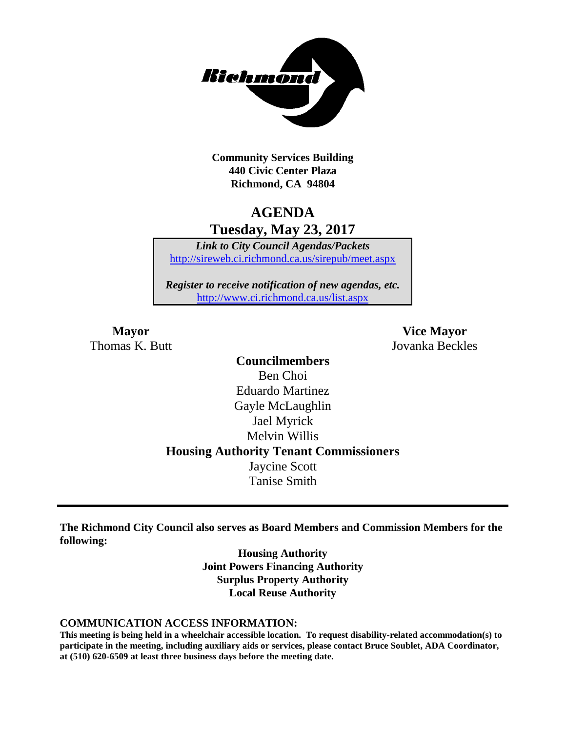

**Community Services Building 440 Civic Center Plaza Richmond, CA 94804**

### **AGENDA Tuesday, May 23, 2017**

*Link to City Council Agendas/Packets* <http://sireweb.ci.richmond.ca.us/sirepub/meet.aspx>

*Register to receive notification of new agendas, etc.* <http://www.ci.richmond.ca.us/list.aspx>

Thomas K. Butt Jovanka Beckles

**Mayor Vice Mayor**

**Councilmembers** Ben Choi Eduardo Martinez Gayle McLaughlin Jael Myrick Melvin Willis **Housing Authority Tenant Commissioners** Jaycine Scott Tanise Smith

**The Richmond City Council also serves as Board Members and Commission Members for the following:**

> **Housing Authority Joint Powers Financing Authority Surplus Property Authority Local Reuse Authority**

#### **COMMUNICATION ACCESS INFORMATION:**

**This meeting is being held in a wheelchair accessible location. To request disability-related accommodation(s) to participate in the meeting, including auxiliary aids or services, please contact Bruce Soublet, ADA Coordinator, at (510) 620-6509 at least three business days before the meeting date.**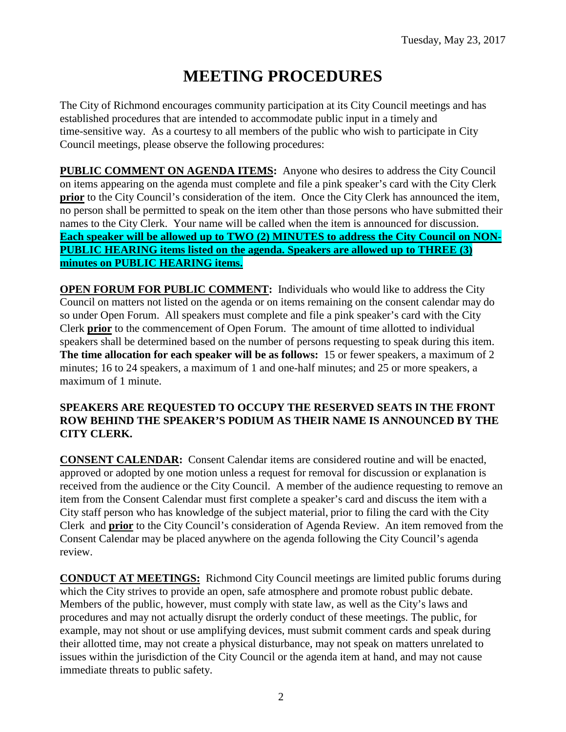# **MEETING PROCEDURES**

The City of Richmond encourages community participation at its City Council meetings and has established procedures that are intended to accommodate public input in a timely and time-sensitive way. As a courtesy to all members of the public who wish to participate in City Council meetings, please observe the following procedures:

**PUBLIC COMMENT ON AGENDA ITEMS:** Anyone who desires to address the City Council on items appearing on the agenda must complete and file a pink speaker's card with the City Clerk **prior** to the City Council's consideration of the item. Once the City Clerk has announced the item, no person shall be permitted to speak on the item other than those persons who have submitted their names to the City Clerk. Your name will be called when the item is announced for discussion. **Each speaker will be allowed up to TWO (2) MINUTES to address the City Council on NON-PUBLIC HEARING items listed on the agenda. Speakers are allowed up to THREE (3) minutes on PUBLIC HEARING items.**

**OPEN FORUM FOR PUBLIC COMMENT:** Individuals who would like to address the City Council on matters not listed on the agenda or on items remaining on the consent calendar may do so under Open Forum. All speakers must complete and file a pink speaker's card with the City Clerk **prior** to the commencement of Open Forum. The amount of time allotted to individual speakers shall be determined based on the number of persons requesting to speak during this item. **The time allocation for each speaker will be as follows:** 15 or fewer speakers, a maximum of 2 minutes; 16 to 24 speakers, a maximum of 1 and one-half minutes; and 25 or more speakers, a maximum of 1 minute.

#### **SPEAKERS ARE REQUESTED TO OCCUPY THE RESERVED SEATS IN THE FRONT ROW BEHIND THE SPEAKER'S PODIUM AS THEIR NAME IS ANNOUNCED BY THE CITY CLERK.**

**CONSENT CALENDAR:** Consent Calendar items are considered routine and will be enacted, approved or adopted by one motion unless a request for removal for discussion or explanation is received from the audience or the City Council. A member of the audience requesting to remove an item from the Consent Calendar must first complete a speaker's card and discuss the item with a City staff person who has knowledge of the subject material, prior to filing the card with the City Clerk and **prior** to the City Council's consideration of Agenda Review. An item removed from the Consent Calendar may be placed anywhere on the agenda following the City Council's agenda review.

**CONDUCT AT MEETINGS:** Richmond City Council meetings are limited public forums during which the City strives to provide an open, safe atmosphere and promote robust public debate. Members of the public, however, must comply with state law, as well as the City's laws and procedures and may not actually disrupt the orderly conduct of these meetings. The public, for example, may not shout or use amplifying devices, must submit comment cards and speak during their allotted time, may not create a physical disturbance, may not speak on matters unrelated to issues within the jurisdiction of the City Council or the agenda item at hand, and may not cause immediate threats to public safety.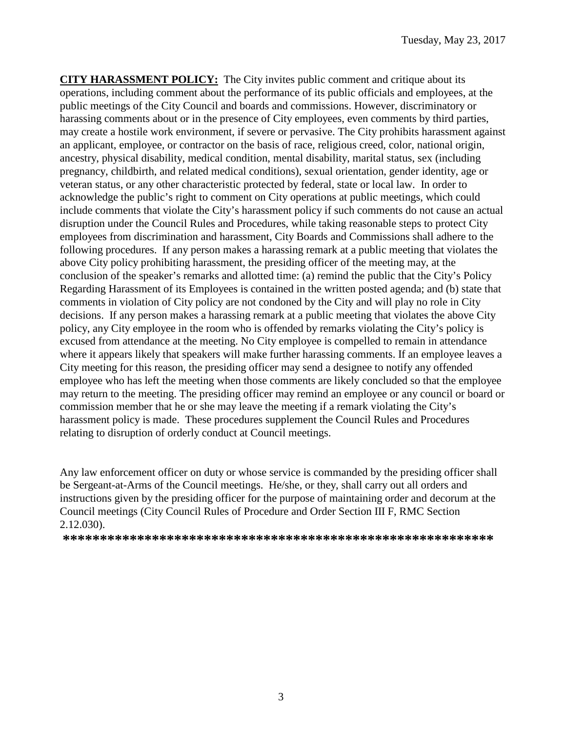**CITY HARASSMENT POLICY:** The City invites public comment and critique about its operations, including comment about the performance of its public officials and employees, at the public meetings of the City Council and boards and commissions. However, discriminatory or harassing comments about or in the presence of City employees, even comments by third parties, may create a hostile work environment, if severe or pervasive. The City prohibits harassment against an applicant, employee, or contractor on the basis of race, religious creed, color, national origin, ancestry, physical disability, medical condition, mental disability, marital status, sex (including pregnancy, childbirth, and related medical conditions), sexual orientation, gender identity, age or veteran status, or any other characteristic protected by federal, state or local law. In order to acknowledge the public's right to comment on City operations at public meetings, which could include comments that violate the City's harassment policy if such comments do not cause an actual disruption under the Council Rules and Procedures, while taking reasonable steps to protect City employees from discrimination and harassment, City Boards and Commissions shall adhere to the following procedures. If any person makes a harassing remark at a public meeting that violates the above City policy prohibiting harassment, the presiding officer of the meeting may, at the conclusion of the speaker's remarks and allotted time: (a) remind the public that the City's Policy Regarding Harassment of its Employees is contained in the written posted agenda; and (b) state that comments in violation of City policy are not condoned by the City and will play no role in City decisions. If any person makes a harassing remark at a public meeting that violates the above City policy, any City employee in the room who is offended by remarks violating the City's policy is excused from attendance at the meeting. No City employee is compelled to remain in attendance where it appears likely that speakers will make further harassing comments. If an employee leaves a City meeting for this reason, the presiding officer may send a designee to notify any offended employee who has left the meeting when those comments are likely concluded so that the employee may return to the meeting. The presiding officer may remind an employee or any council or board or commission member that he or she may leave the meeting if a remark violating the City's harassment policy is made. These procedures supplement the Council Rules and Procedures relating to disruption of orderly conduct at Council meetings.

Any law enforcement officer on duty or whose service is commanded by the presiding officer shall be Sergeant-at-Arms of the Council meetings. He/she, or they, shall carry out all orders and instructions given by the presiding officer for the purpose of maintaining order and decorum at the Council meetings (City Council Rules of Procedure and Order Section III F, RMC Section 2.12.030).

**\*\*\*\*\*\*\*\*\*\*\*\*\*\*\*\*\*\*\*\*\*\*\*\*\*\*\*\*\*\*\*\*\*\*\*\*\*\*\*\*\*\*\*\*\*\*\*\*\*\*\*\*\*\*\*\*\*\***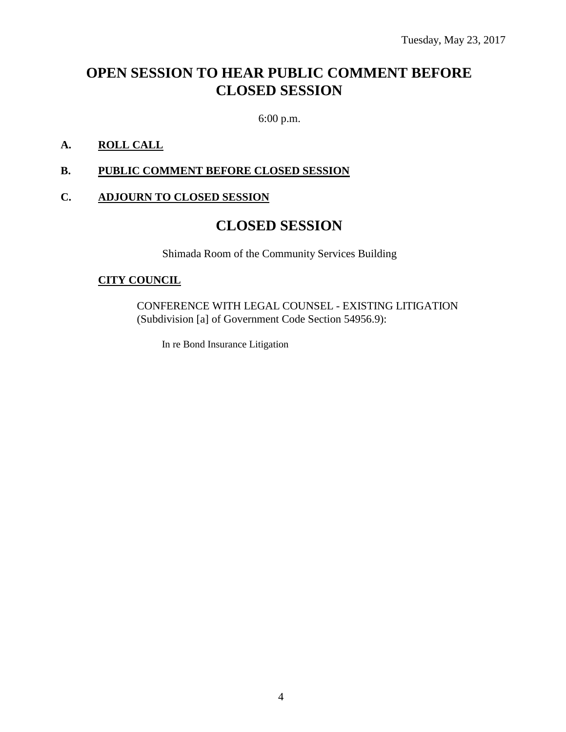## **OPEN SESSION TO HEAR PUBLIC COMMENT BEFORE CLOSED SESSION**

6:00 p.m.

### **A. ROLL CALL**

#### **B. PUBLIC COMMENT BEFORE CLOSED SESSION**

#### **C. ADJOURN TO CLOSED SESSION**

### **CLOSED SESSION**

Shimada Room of the Community Services Building

#### **CITY COUNCIL**

CONFERENCE WITH LEGAL COUNSEL - EXISTING LITIGATION (Subdivision [a] of Government Code Section 54956.9):

In re Bond Insurance Litigation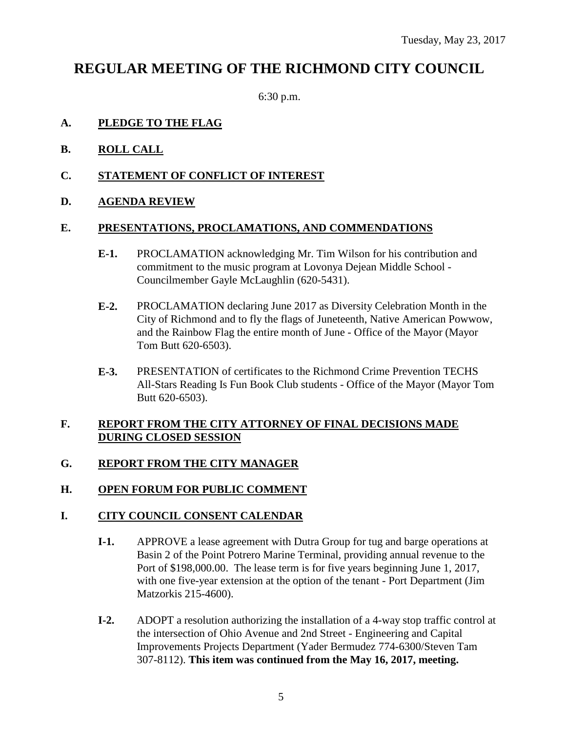### **REGULAR MEETING OF THE RICHMOND CITY COUNCIL**

6:30 p.m.

#### **A. PLEDGE TO THE FLAG**

- **B. ROLL CALL**
- **C. STATEMENT OF CONFLICT OF INTEREST**
- **D. AGENDA REVIEW**

#### **E. PRESENTATIONS, PROCLAMATIONS, AND COMMENDATIONS**

- **E-1.** PROCLAMATION acknowledging Mr. Tim Wilson for his contribution and commitment to the music program at Lovonya Dejean Middle School - Councilmember Gayle McLaughlin (620-5431).
- **E-2.** PROCLAMATION declaring June 2017 as Diversity Celebration Month in the City of Richmond and to fly the flags of Juneteenth, Native American Powwow, and the Rainbow Flag the entire month of June - Office of the Mayor (Mayor Tom Butt 620-6503).
- **E-3.** PRESENTATION of certificates to the Richmond Crime Prevention TECHS All-Stars Reading Is Fun Book Club students - Office of the Mayor (Mayor Tom Butt 620-6503).

#### **F. REPORT FROM THE CITY ATTORNEY OF FINAL DECISIONS MADE DURING CLOSED SESSION**

#### **G. REPORT FROM THE CITY MANAGER**

#### **H. OPEN FORUM FOR PUBLIC COMMENT**

#### **I. CITY COUNCIL CONSENT CALENDAR**

- **I-1.** APPROVE a lease agreement with Dutra Group for tug and barge operations at Basin 2 of the Point Potrero Marine Terminal, providing annual revenue to the Port of \$198,000.00. The lease term is for five years beginning June 1, 2017, with one five-year extension at the option of the tenant - Port Department (Jim Matzorkis 215-4600).
- **I-2.** ADOPT a resolution authorizing the installation of a 4-way stop traffic control at the intersection of Ohio Avenue and 2nd Street - Engineering and Capital Improvements Projects Department (Yader Bermudez 774-6300/Steven Tam 307-8112). **This item was continued from the May 16, 2017, meeting.**